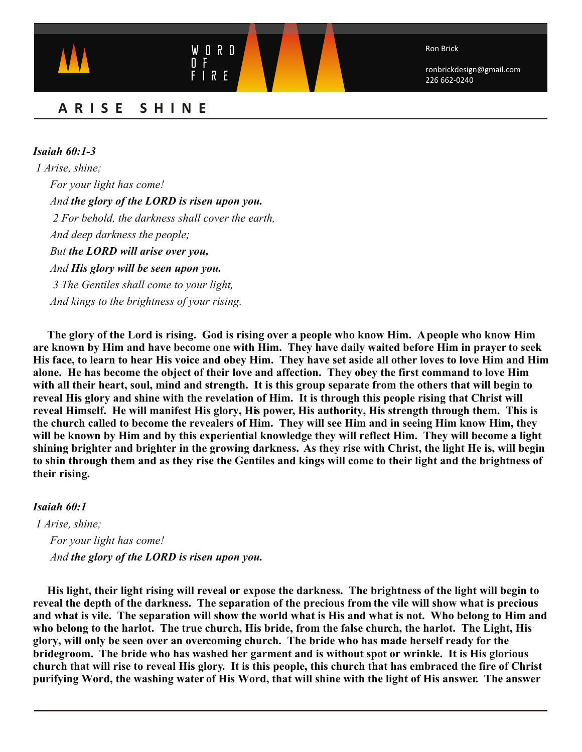Ron Brick

ronbrickdesign@gmail.com 226 662-0240

# **ARISE SHINE**

U O R D

 $\overline{\mathbf{0}}$ 

*Isaiah 60:1-3 1 Arise, shine; For your light has come! And the glory of the LORD is risen upon you. 2 For behold, the darkness shall cover the earth, And deep darkness the people; But the LORD will arise over you, And His glory will be seen upon you. 3 The Gentiles shall come to your light, And kings to the brightness of your rising.*

**The glory of the Lord is rising. God is rising over a people who know Him. A people who know Him are known by Him and have become one with Him. They have daily waited before Him in prayer to seek His face, to learn to hear His voice and obey Him. They have set aside all other loves to love Him and Him alone. He has become the object of their love and affection. They obey the first command to love Him with all their heart, soul, mind and strength. It is this group separate from the others that will begin to reveal His glory and shine with the revelation of Him. It is through this people rising that Christ will reveal Himself. He will manifest His glory, His power, His authority, His strength through them. This is the church called to become the revealers of Him. They will see Him and in seeing Him know Him, they will be known by Him and by this experiential knowledge they will reflect Him. They will become a light shining brighter and brighter in the growing darkness. As they rise with Christ, the light He is, will begin to shin through them and as they rise the Gentiles and kings will come to their light and the brightness of their rising.**

## *Isaiah 60:1*

*1 Arise, shine; For your light has come! And the glory of the LORD is risen upon you.*

**His light, their light rising will reveal or expose the darkness. The brightness of the light will begin to reveal the depth of the darkness. The separation of the precious from the vile will show what is precious and what is vile. The separation will show the world what is His and what is not. Who belong to Him and who belong to the harlot. The true church, His bride, from the false church, the harlot. The Light, His glory, will only be seen over an overcoming church. The bride who has made herself ready for the bridegroom. The bride who has washed her garment and is without spot or wrinkle. It is His glorious church that will rise to reveal His glory. It is this people, this church that has embraced the fire of Christ purifying Word, the washing water of His Word, that will shine with the light of His answer. The answer**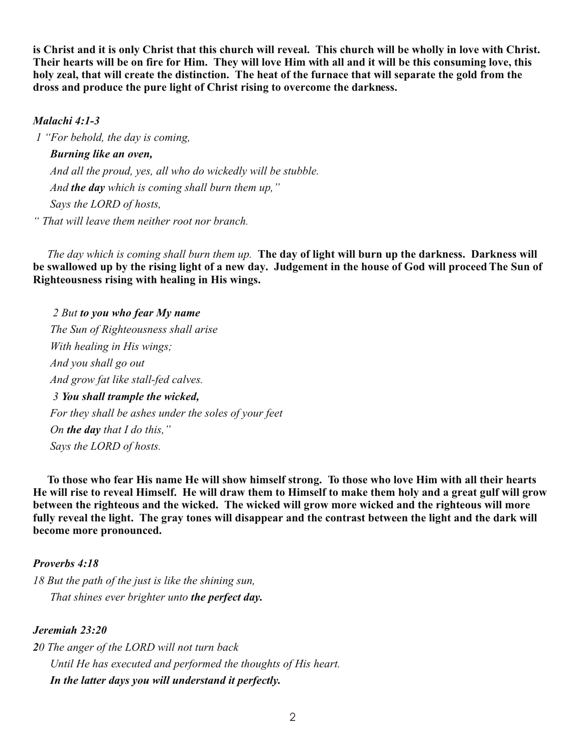**is Christ and it is only Christ that this church will reveal. This church will be wholly in love with Christ. Their hearts will be on fire for Him. They will love Him with all and it will be this consuming love, this holy zeal, that will create the distinction. The heat of the furnace that will separate the gold from the dross and produce the pure light of Christ rising to overcome the darkness.**

## *Malachi 4:1-3*

*1 "For behold, the day is coming, Burning like an oven, And all the proud, yes, all who do wickedly will be stubble. And the day which is coming shall burn them up," Says the LORD of hosts, " That will leave them neither root nor branch.*

 *The day which is coming shall burn them up.* **The day of light will burn up the darkness. Darkness will be swallowed up by the rising light of a new day. Judgement in the house of God will proceed The Sun of Righteousness rising with healing in His wings.** 

 *2 But to you who fear My name The Sun of Righteousness shall arise With healing in His wings; And you shall go out And grow fat like stall-fed calves. 3 You shall trample the wicked, For they shall be ashes under the soles of your feet On the day that I do this," Says the LORD of hosts.*

**To those who fear His name He will show himself strong. To those who love Him with all their hearts He will rise to reveal Himself. He will draw them to Himself to make them holy and a great gulf will grow between the righteous and the wicked. The wicked will grow more wicked and the righteous will more fully reveal the light. The gray tones will disappear and the contrast between the light and the dark will become more pronounced.** 

### *Proverbs 4:18*

*18 But the path of the just is like the shining sun, That shines ever brighter unto the perfect day.*

## *Jeremiah 23:20*

*20 The anger of the LORD will not turn back Until He has executed and performed the thoughts of His heart. In the latter days you will understand it perfectly.*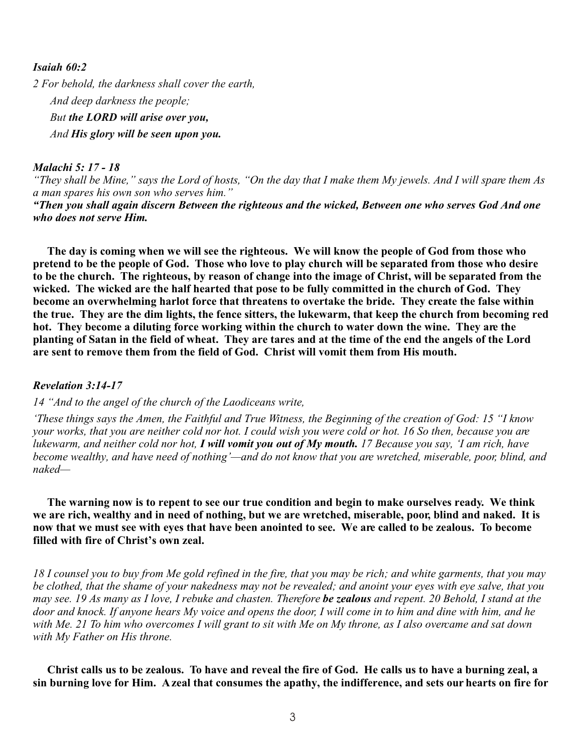## *Isaiah 60:2*

*2 For behold, the darkness shall cover the earth, And deep darkness the people; But the LORD will arise over you, And His glory will be seen upon you.*

## *Malachi 5: 17 - 18*

*"They shall be Mine," says the Lord of hosts, "On the day that I make them My jewels. And I will spare them As a man spares his own son who serves him."*

*"Then you shall again discern Between the righteous and the wicked, Between one who serves God And one who does not serve Him.* 

**The day is coming when we will see the righteous. We will know the people of God from those who pretend to be the people of God. Those who love to play church will be separated from those who desire to be the church. The righteous, by reason of change into the image of Christ, will be separated from the wicked. The wicked are the half hearted that pose to be fully committed in the church of God. They become an overwhelming harlot force that threatens to overtake the bride. They create the false within the true. They are the dim lights, the fence sitters, the lukewarm, that keep the church from becoming red hot. They become a diluting force working within the church to water down the wine. They are the planting of Satan in the field of wheat. They are tares and at the time of the end the angels of the Lord are sent to remove them from the field of God. Christ will vomit them from His mouth.**

#### *Revelation 3:14-17*

*14 "And to the angel of the church of the Laodiceans write,*

*'These things says the Amen, the Faithful and True Witness, the Beginning of the creation of God: 15 "I know your works, that you are neither cold nor hot. I could wish you were cold or hot. 16 So then, because you are lukewarm, and neither cold nor hot, I will vomit you out of My mouth. 17 Because you say, 'I am rich, have become wealthy, and have need of nothing'—and do not know that you are wretched, miserable, poor, blind, and naked—*

**The warning now is to repent to see our true condition and begin to make ourselves ready. We think we are rich, wealthy and in need of nothing, but we are wretched, miserable, poor, blind and naked. It is now that we must see with eyes that have been anointed to see. We are called to be zealous. To become filled with fire of Christ's own zeal.** 

*18 I counsel you to buy from Me gold refined in the fire, that you may be rich; and white garments, that you may be clothed, that the shame of your nakedness may not be revealed; and anoint your eyes with eye salve, that you may see. 19 As many as I love, I rebuke and chasten. Therefore be zealous and repent. 20 Behold, I stand at the door and knock. If anyone hears My voice and opens the door, I will come in to him and dine with him, and he with Me. 21 To him who overcomes I will grant to sit with Me on My throne, as I also overcame and sat down with My Father on His throne.*

 **Christ calls us to be zealous. To have and reveal the fire of God. He calls us to have a burning zeal, a sin burning love for Him. A zeal that consumes the apathy, the indifference, and sets our hearts on fire for**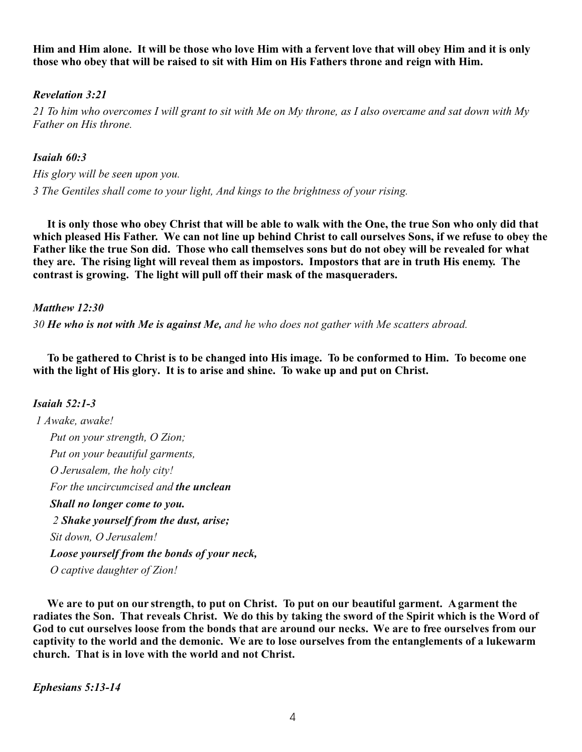**Him and Him alone. It will be those who love Him with a fervent love that will obey Him and it is only those who obey that will be raised to sit with Him on His Fathers throne and reign with Him.**

# *Revelation 3:21*

*21 To him who overcomes I will grant to sit with Me on My throne, as I also overcame and sat down with My Father on His throne.*

# *Isaiah 60:3*

*His glory will be seen upon you. 3 The Gentiles shall come to your light, And kings to the brightness of your rising.*

 **It is only those who obey Christ that will be able to walk with the One, the true Son who only did that which pleased His Father. We can not line up behind Christ to call ourselves Sons, if we refuse to obey the Father like the true Son did. Those who call themselves sons but do not obey will be revealed for what they are. The rising light will reveal them as impostors. Impostors that are in truth His enemy. The contrast is growing. The light will pull off their mask of the masqueraders.** 

# *Matthew 12:30*

*30 He who is not with Me is against Me, and he who does not gather with Me scatters abroad.*

 **To be gathered to Christ is to be changed into His image. To be conformed to Him. To become one with the light of His glory. It is to arise and shine. To wake up and put on Christ.** 

# *Isaiah 52:1-3*

 *1 Awake, awake! Put on your strength, O Zion; Put on your beautiful garments, O Jerusalem, the holy city! For the uncircumcised and the unclean Shall no longer come to you. 2 Shake yourself from the dust, arise; Sit down, O Jerusalem! Loose yourself from the bonds of your neck, O captive daughter of Zion!*

**We are to put on our strength, to put on Christ. To put on our beautiful garment. A garment the radiates the Son. That reveals Christ. We do this by taking the sword of the Spirit which is the Word of God to cut ourselves loose from the bonds that are around our necks. We are to free ourselves from our captivity to the world and the demonic. We are to lose ourselves from the entanglements of a lukewarm church. That is in love with the world and not Christ.** 

*Ephesians 5:13-14*